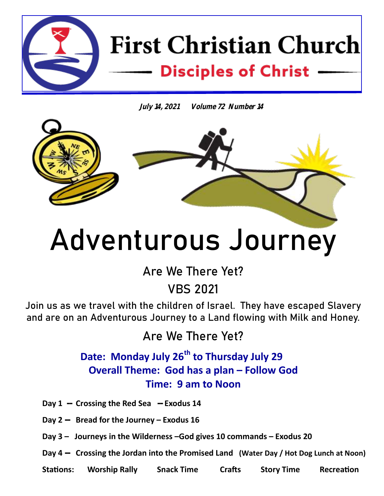

**July 14, 2021 Volume 72 Number 14**



# **Adventurous Journey**

**Are We There Yet?**

**VBS 2021**

**Join us as we travel with the children of Israel. They have escaped Slavery and are on an Adventurous Journey to a Land flowing with Milk and Honey.**

**Are We There Yet?** 

 **Date: Monday July 26th to Thursday July 29 Overall Theme: God has a plan – Follow God Time: 9 am to Noon**

**Day 1 -- Crossing the Red Sea -- Exodus 14**

**Day 2 -- Bread for the Journey – Exodus 16** 

**Day 3 – Journeys in the Wilderness –God gives 10 commands – Exodus 20**

**Day 4 -- Crossing the Jordan into the Promised Land (Water Day / Hot Dog Lunch at Noon)** 

**Stations: Worship Rally Snack Time Crafts Story Time Recreation**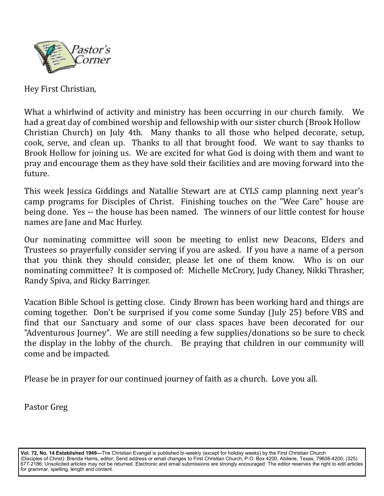

Hey First Christian,

What a whirlwind of activity and ministry has been occurring in our church family. We had a great day of combined worship and fellowship with our sister church (Brook Hollow Christian Church) on July 4th. Many thanks to all those who helped decorate, setup, cook, serve, and clean up. Thanks to all that brought food. We want to say thanks to Brook Hollow for joining us. We are excited for what God is doing with them and want to pray and encourage them as they have sold their facilities and are moving forward into the future.

This week Jessica Giddings and Natallie Stewart are at CYLS camp planning next year's camp programs for Disciples of Christ. Finishing touches on the "Wee Care" house are being done. Yes -- the house has been named. The winners of our little contest for house names are Jane and Mac Hurley.

Our nominating committee will soon be meeting to enlist new Deacons, Elders and Trustees so prayerfully consider serving if you are asked. If you have a name of a person that you think they should consider, please let one of them know. Who is on our nominating committee? It is composed of: Michelle McCrory, Judy Chaney, Nikki Thrasher, Randy Spiva, and Ricky Barringer.

Vacation Bible School is getting close. Cindy Brown has been working hard and things are coming together. Don't be surprised if you come some Sunday (July 25) before VBS and find that our Sanctuary and some of our class spaces have been decorated for our "Adventurous Journey". We are still needing a few supplies/donations so be sure to check the display in the lobby of the church. Be praying that children in our community will come and be impacted.

Please be in prayer for our continued journey of faith as a church. Love you all.

Pastor Greg

**Vol. 72, No. 14 Established 1949—**The Christian Evangel is published bi-weekly (except for holiday weeks) by the First Christian Church (Disciples of Christ): Brenda Harris, editor; Send address or email changes to First Christian Church, P.O. Box 4200, Abilene, Texas, 79608-4200; (325) 677-2186; Unsolicited articles may not be returned. Electronic and email submissions are strongly encouraged. The editor reserves the right to edit articles for grammar, spelling, length and content.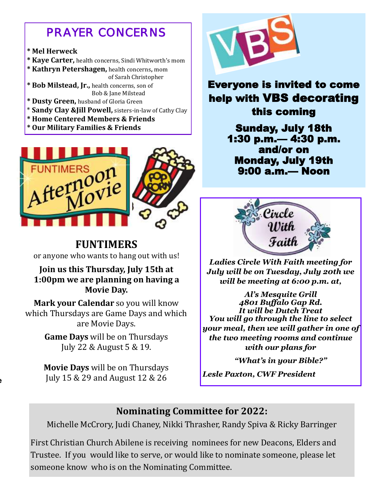## *PRAYER CONCERNS*

#### **\* Mel Herweck**

**\* Kaye Carter,** health concerns, Sindi Whitworth's mom

**\* Kathryn Petershagen,** health concerns**,** mom of Sarah Christopher **\* Bob Milstead, Jr.,** health concerns, son of Bob & Jane Milstead

- **\* Dusty Green,** husband of Gloria Green
- \* **Sandy Clay &Jill Powell,** sisters-in-law of Cathy Clay
- **\* Home Centered Members & Friends**
- **\* Our Military Families & Friends**



**FUNTIMERS** 

or anyone who wants to hang out with us!

#### **Join us this Thursday, July 15th at 1:00pm we are planning on having a Movie Day.**

**Mark your Calendar** so you will know which Thursdays are Game Days and which are Movie Days.

> **Game Days** will be on Thursdays July 22 & August 5 & 19.

> **Movie Days** will be on Thursdays July 15 & 29 and August 12 & 26

**to the Enterprise** 



### Everyone is invited to come help with VBS decorating this coming

Sunday, July 18th 1:30 p.m.— 4:30 p.m. and/or on Monday, July 19th 9:00 a.m.— Noon



*Ladies Circle With Faith meeting for July will be on Tuesday, July 20th we will be meeting at 6:00 p.m. at,*

*Al's Mesquite Grill 4801 Buffalo Gap Rd. It will be Dutch Treat You will go through the line to select your meal, then we will gather in one of the two meeting rooms and continue with our plans for* 

*"What's in your Bible?"*

*Lesle Paxton, CWF President*

#### **Nominating Committee for 2022:**

Michelle McCrory, Judi Chaney, Nikki Thrasher, Randy Spiva & Ricky Barringer

First Christian Church Abilene is receiving nominees for new Deacons, Elders and Trustee. If you would like to serve, or would like to nominate someone, please let someone know who is on the Nominating Committee.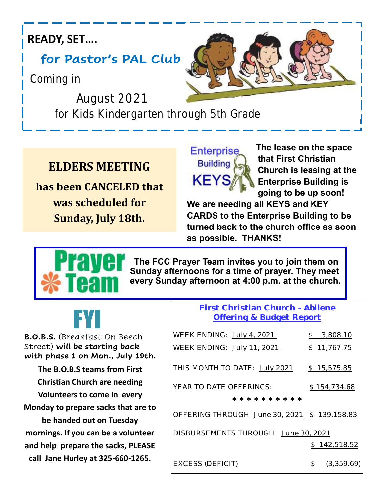## **READY, SET….**

# **for Pastor's PAL Club**

 **Coming in** 

 **August 2021 for Kids Kindergarten through 5th Grade**

# **ELDERS MEETING**

**has been CANCELED that was scheduled for Sunday, July 18th.**



**Enterprise** The lease on the space **Building Care that First Christian Church is leasing at the KEYS***I* Enterprise Building is  **going to be up soon!** 

**We are needing all KEYS and KEY CARDS to the Enterprise Building to be turned back to the church office as soon as possible. THANKS!**



 **The FCC Prayer Team invites you to join them on Sunday afternoons for a time of prayer. They meet every Sunday afternoon at 4:00 p.m. at the church.** 

| EVI                                                               | First Christian Church - Abilene<br>Offering & Budget Report |                           |
|-------------------------------------------------------------------|--------------------------------------------------------------|---------------------------|
| <b>B.O.B.S.</b> (Breakfast On Beech                               | WEEK ENDING: July 4, 2021                                    | 3,808.10                  |
| Street) will be starting back<br>with phase 1 on Mon., July 19th. | WEEK ENDING: July 11, 2021                                   | \$11,767.75               |
| The B.O.B.S teams from First                                      | THIS MONTH TO DATE: July 2021                                | \$15,575.85               |
| <b>Christian Church are needing</b>                               | YEAR TO DATE OFFERINGS:                                      | \$154,734.68              |
| Volunteers to come in every                                       | * * * * * * * * * *                                          |                           |
| Monday to prepare sacks that are to<br>be handed out on Tuesday   | OFFERING THROUGH June 30, 2021 \$ 139, 158.83                |                           |
| mornings. If you can be a volunteer                               | DISBURSEMENTS THROUGH June 30, 2021                          |                           |
| and help prepare the sacks, PLEASE                                |                                                              | 142,518.52<br>$\mathbb S$ |
| call Jane Hurley at 325-660-1265.                                 |                                                              |                           |

EXCESS (DEFICIT) \$ (3,359.69)